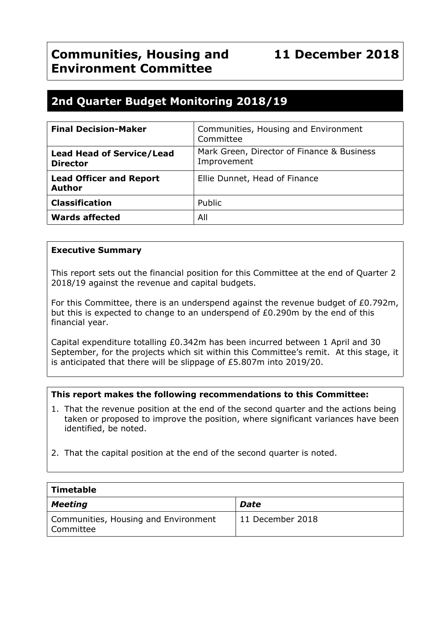# **2nd Quarter Budget Monitoring 2018/19**

| <b>Final Decision-Maker</b>                         | Communities, Housing and Environment<br>Committee         |
|-----------------------------------------------------|-----------------------------------------------------------|
| <b>Lead Head of Service/Lead</b><br><b>Director</b> | Mark Green, Director of Finance & Business<br>Improvement |
| <b>Lead Officer and Report</b><br><b>Author</b>     | Ellie Dunnet, Head of Finance                             |
| <b>Classification</b>                               | Public                                                    |
| <b>Wards affected</b>                               | All                                                       |

## **Executive Summary**

This report sets out the financial position for this Committee at the end of Quarter 2 2018/19 against the revenue and capital budgets.

For this Committee, there is an underspend against the revenue budget of £0.792m, but this is expected to change to an underspend of £0.290m by the end of this financial year.

Capital expenditure totalling £0.342m has been incurred between 1 April and 30 September, for the projects which sit within this Committee's remit. At this stage, it is anticipated that there will be slippage of £5.807m into 2019/20.

#### **This report makes the following recommendations to this Committee:**

- 1. That the revenue position at the end of the second quarter and the actions being taken or proposed to improve the position, where significant variances have been identified, be noted.
- 2. That the capital position at the end of the second quarter is noted.

| Timetable                                           |                  |
|-----------------------------------------------------|------------------|
| <b>Meeting</b>                                      | <b>Date</b>      |
| Communities, Housing and Environment<br>l Committee | 11 December 2018 |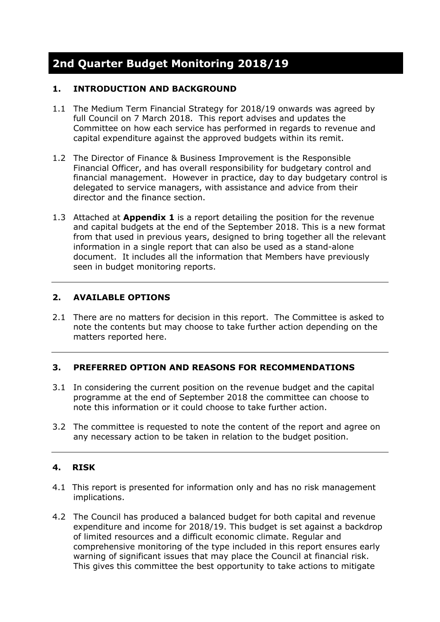# **2nd Quarter Budget Monitoring 2018/19**

## **1. INTRODUCTION AND BACKGROUND**

- 1.1 The Medium Term Financial Strategy for 2018/19 onwards was agreed by full Council on 7 March 2018. This report advises and updates the Committee on how each service has performed in regards to revenue and capital expenditure against the approved budgets within its remit.
- 1.2 The Director of Finance & Business Improvement is the Responsible Financial Officer, and has overall responsibility for budgetary control and financial management. However in practice, day to day budgetary control is delegated to service managers, with assistance and advice from their director and the finance section.
- 1.3 Attached at **Appendix 1** is a report detailing the position for the revenue and capital budgets at the end of the September 2018. This is a new format from that used in previous years, designed to bring together all the relevant information in a single report that can also be used as a stand-alone document. It includes all the information that Members have previously seen in budget monitoring reports.

## **2. AVAILABLE OPTIONS**

2.1 There are no matters for decision in this report. The Committee is asked to note the contents but may choose to take further action depending on the matters reported here.

#### **3. PREFERRED OPTION AND REASONS FOR RECOMMENDATIONS**

- 3.1 In considering the current position on the revenue budget and the capital programme at the end of September 2018 the committee can choose to note this information or it could choose to take further action.
- 3.2 The committee is requested to note the content of the report and agree on any necessary action to be taken in relation to the budget position.

## **4. RISK**

- 4.1 This report is presented for information only and has no risk management implications.
- 4.2 The Council has produced a balanced budget for both capital and revenue expenditure and income for 2018/19. This budget is set against a backdrop of limited resources and a difficult economic climate. Regular and comprehensive monitoring of the type included in this report ensures early warning of significant issues that may place the Council at financial risk. This gives this committee the best opportunity to take actions to mitigate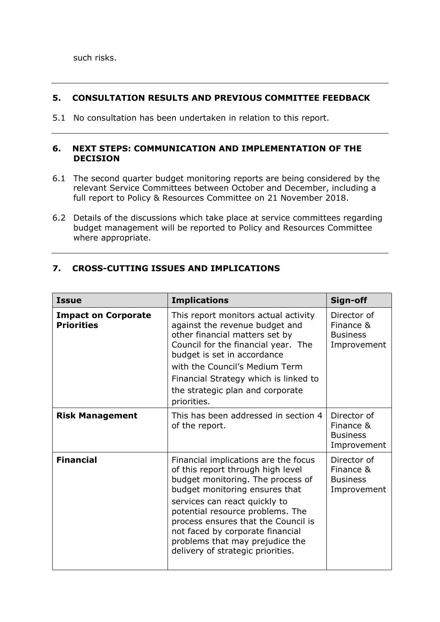### **5. CONSULTATION RESULTS AND PREVIOUS COMMITTEE FEEDBACK**

5.1 No consultation has been undertaken in relation to this report.

#### **6. NEXT STEPS: COMMUNICATION AND IMPLEMENTATION OF THE DECISION**

- 6.1 The second quarter budget monitoring reports are being considered by the relevant Service Committees between October and December, including a full report to Policy & Resources Committee on 21 November 2018.
- 6.2 Details of the discussions which take place at service committees regarding budget management will be reported to Policy and Resources Committee where appropriate.

| <b>Issue</b>                                    | <b>Implications</b>                                                                                                                                                                                                                                                                                                                                                      | Sign-off                                                   |
|-------------------------------------------------|--------------------------------------------------------------------------------------------------------------------------------------------------------------------------------------------------------------------------------------------------------------------------------------------------------------------------------------------------------------------------|------------------------------------------------------------|
| <b>Impact on Corporate</b><br><b>Priorities</b> | This report monitors actual activity<br>against the revenue budget and<br>other financial matters set by<br>Council for the financial year. The<br>budget is set in accordance<br>with the Council's Medium Term<br>Financial Strategy which is linked to<br>the strategic plan and corporate<br>priorities.                                                             | Director of<br>Finance &<br><b>Business</b><br>Improvement |
| <b>Risk Management</b>                          | This has been addressed in section 4<br>of the report.                                                                                                                                                                                                                                                                                                                   | Director of<br>Finance &<br><b>Business</b><br>Improvement |
| <b>Financial</b>                                | Financial implications are the focus<br>of this report through high level<br>budget monitoring. The process of<br>budget monitoring ensures that<br>services can react quickly to<br>potential resource problems. The<br>process ensures that the Council is<br>not faced by corporate financial<br>problems that may prejudice the<br>delivery of strategic priorities. | Director of<br>Finance &<br><b>Business</b><br>Improvement |

## **7. CROSS-CUTTING ISSUES AND IMPLICATIONS**